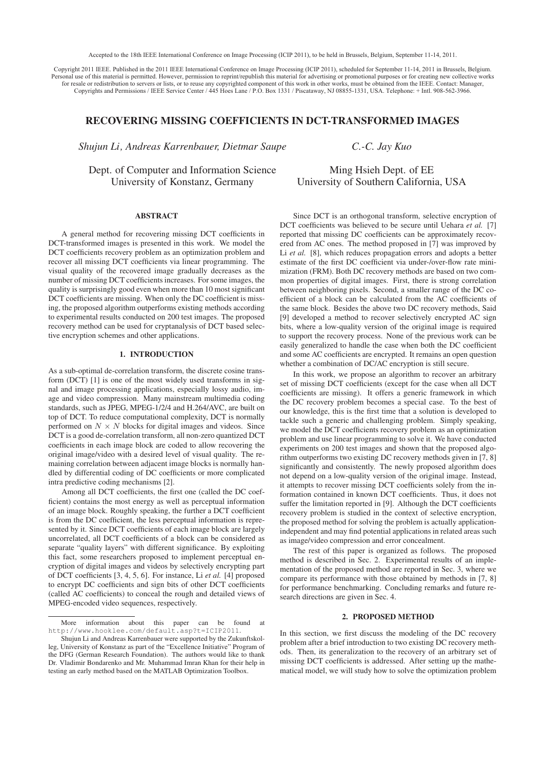Accepted to the 18th IEEE International Conference on Image Processing (ICIP 2011), to be held in Brussels, Belgium, September 11-14, 2011.

Copyright 2011 IEEE. Published in the 2011 IEEE International Conference on Image Processing (ICIP 2011), scheduled for September 11-14, 2011 in Brussels, Belgium. Personal use of this material is permitted. However, permission to reprint/republish this material for advertising or promotional purposes or for creating new collective works for resale or redistribution to servers or lists, or to reuse any copyrighted component of this work in other works, must be obtained from the IEEE. Contact: Manager, Copyrights and Permissions / IEEE Service Center / 445 Hoes Lane / P.O. Box 1331 / Piscataway, NJ 08855-1331, USA. Telephone: + Intl. 908-562-3966.

# RECOVERING MISSING COEFFICIENTS IN DCT-TRANSFORMED IMAGES

*Shujun Li, Andreas Karrenbauer, Dietmar Saupe*

*C.-C. Jay Kuo*

Dept. of Computer and Information Science University of Konstanz, Germany

Ming Hsieh Dept. of EE University of Southern California, USA

A general method for recovering missing DCT coefficients in DCT-transformed images is presented in this work. We model the DCT coefficients recovery problem as an optimization problem and recover all missing DCT coefficients via linear programming. The visual quality of the recovered image gradually decreases as the number of missing DCT coefficients increases. For some images, the quality is surprisingly good even when more than 10 most significant DCT coefficients are missing. When only the DC coefficient is missing, the proposed algorithm outperforms existing methods according to experimental results conducted on 200 test images. The proposed recovery method can be used for cryptanalysis of DCT based selective encryption schemes and other applications.

## 1. INTRODUCTION

As a sub-optimal de-correlation transform, the discrete cosine transform (DCT) [1] is one of the most widely used transforms in signal and image processing applications, especially lossy audio, image and video compression. Many mainstream multimedia coding standards, such as JPEG, MPEG-1/2/4 and H.264/AVC, are built on top of DCT. To reduce computational complexity, DCT is normally performed on  $N \times N$  blocks for digital images and videos. Since DCT is a good de-correlation transform, all non-zero quantized DCT coefficients in each image block are coded to allow recovering the original image/video with a desired level of visual quality. The remaining correlation between adjacent image blocks is normally handled by differential coding of DC coefficients or more complicated intra predictive coding mechanisms [2].

Among all DCT coefficients, the first one (called the DC coefficient) contains the most energy as well as perceptual information of an image block. Roughly speaking, the further a DCT coefficient is from the DC coefficient, the less perceptual information is represented by it. Since DCT coefficients of each image block are largely uncorrelated, all DCT coefficients of a block can be considered as separate "quality layers" with different significance. By exploiting this fact, some researchers proposed to implement perceptual encryption of digital images and videos by selectively encrypting part of DCT coefficients [3, 4, 5, 6]. For instance, Li *et al.* [4] proposed to encrypt DC coefficients and sign bits of other DCT coefficients (called AC coefficients) to conceal the rough and detailed views of MPEG-encoded video sequences, respectively.

Since DCT is an orthogonal transform, selective encryption of DCT coefficients was believed to be secure until Uehara *et al.* [7] reported that missing DC coefficients can be approximately recovered from AC ones. The method proposed in [7] was improved by Li *et al.* [8], which reduces propagation errors and adopts a better estimate of the first DC coefficient via under-/over-flow rate minimization (FRM). Both DC recovery methods are based on two common properties of digital images. First, there is strong correlation between neighboring pixels. Second, a smaller range of the DC coefficient of a block can be calculated from the AC coefficients of the same block. Besides the above two DC recovery methods, Said [9] developed a method to recover selectively encrypted AC sign bits, where a low-quality version of the original image is required to support the recovery process. None of the previous work can be easily generalized to handle the case when both the DC coefficient and some AC coefficients are encrypted. It remains an open question whether a combination of DC/AC encryption is still secure.

In this work, we propose an algorithm to recover an arbitrary set of missing DCT coefficients (except for the case when all DCT coefficients are missing). It offers a generic framework in which the DC recovery problem becomes a special case. To the best of our knowledge, this is the first time that a solution is developed to tackle such a generic and challenging problem. Simply speaking, we model the DCT coefficients recovery problem as an optimization problem and use linear programming to solve it. We have conducted experiments on 200 test images and shown that the proposed algorithm outperforms two existing DC recovery methods given in [7, 8] significantly and consistently. The newly proposed algorithm does not depend on a low-quality version of the original image. Instead, it attempts to recover missing DCT coefficients solely from the information contained in known DCT coefficients. Thus, it does not suffer the limitation reported in [9]. Although the DCT coefficients recovery problem is studied in the context of selective encryption, the proposed method for solving the problem is actually applicationindependent and may find potential applications in related areas such as image/video compression and error concealment.

The rest of this paper is organized as follows. The proposed method is described in Sec. 2. Experimental results of an implementation of the proposed method are reported in Sec. 3, where we compare its performance with those obtained by methods in [7, 8] for performance benchmarking. Concluding remarks and future research directions are given in Sec. 4.

In this section, we first discuss the modeling of the DC recovery problem after a brief introduction to two existing DC recovery methods. Then, its generalization to the recovery of an arbitrary set of missing DCT coefficients is addressed. After setting up the mathematical model, we will study how to solve the optimization problem

More information about this paper can be found at http://www.hooklee.com/default.asp?t=ICIP2011.

Shujun Li and Andreas Karrenbauer were supported by the Zukunftskolleg, University of Konstanz as part of the "Excellence Initiative" Program of the DFG (German Research Foundation). The authors would like to thank Dr. Vladimir Bondarenko and Mr. Muhammad Imran Khan for their help in testing an early method based on the MATLAB Optimization Toolbox.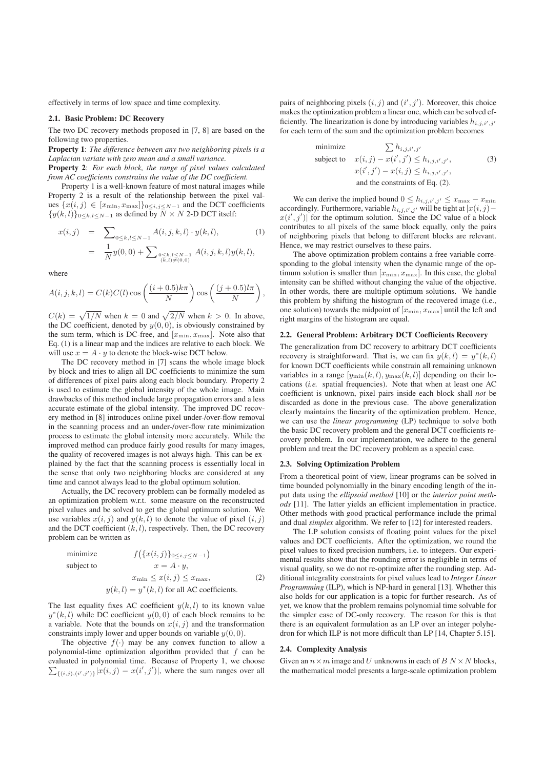effectively in terms of low space and time complexity.

The two DC recovery methods proposed in [7, 8] are based on the following two properties.

Property 1: *The difference between any two neighboring pixels is a Laplacian variate with zero mean and a small variance.*

Property 2: *For each block, the range of pixel values calculated from AC coefficients constrains the value of the DC coefficient.*

Property 1 is a well-known feature of most natural images while Property 2 is a result of the relationship between the pixel values  $\{x(i, j) \in [x_{\min}, x_{\max}]\}_{0 \le i, j \le N-1}$  and the DCT coefficients  ${y(k, l)}<sub>0\leq k, l\leq N-1</sub>$  as defined by  $\overline{N} \times N$  2-D DCT itself:

$$
x(i,j) = \sum_{0 \le k,l \le N-1} A(i,j,k,l) \cdot y(k,l),
$$
  

$$
= \frac{1}{N} y(0,0) + \sum_{0 \le k,l \le N-1 \atop (k,l) \ne (0,0)} A(i,j,k,l) y(k,l),
$$
 (1)

where

$$
A(i, j, k, l) = C(k)C(l)\cos\left(\frac{(i+0.5)k\pi}{N}\right)\cos\left(\frac{(j+0.5)l\pi}{N}\right)
$$

,

 $C(k) = \sqrt{1/N}$  when  $k = 0$  and  $\sqrt{2/N}$  when  $k > 0$ . In above, the DC coefficient, denoted by  $y(0, 0)$ , is obviously constrained by the sum term, which is DC-free, and  $[x_{\min}, x_{\max}]$ . Note also that Eq. (1) is a linear map and the indices are relative to each block. We will use  $x = A \cdot y$  to denote the block-wise DCT below.

The DC recovery method in [7] scans the whole image block by block and tries to align all DC coefficients to minimize the sum of differences of pixel pairs along each block boundary. Property 2 is used to estimate the global intensity of the whole image. Main drawbacks of this method include large propagation errors and a less accurate estimate of the global intensity. The improved DC recovery method in [8] introduces online pixel under-/over-flow removal in the scanning process and an under-/over-flow rate minimization process to estimate the global intensity more accurately. While the improved method can produce fairly good results for many images, the quality of recovered images is not always high. This can be explained by the fact that the scanning process is essentially local in the sense that only two neighboring blocks are considered at any time and cannot always lead to the global optimum solution.

Actually, the DC recovery problem can be formally modeled as an optimization problem w.r.t. some measure on the reconstructed pixel values and be solved to get the global optimum solution. We use variables  $x(i, j)$  and  $y(k, l)$  to denote the value of pixel  $(i, j)$ and the DCT coefficient  $(k, l)$ , respectively. Then, the DC recovery problem can be written as

minimize 
$$
f(\lbrace x(i,j) \rbrace_{0 \le i,j \le N-1})
$$
  
subject to 
$$
x = A \cdot y,
$$

$$
x_{\min} \le x(i,j) \le x_{\max},
$$

$$
y(k,l) = y^*(k,l) \text{ for all AC coefficients.}
$$

$$
(2)
$$

The last equality fixes AC coefficient  $y(k, l)$  to its known value  $y^*(k, l)$  while DC coefficient  $y(0, 0)$  of each block remains to be a variable. Note that the bounds on  $x(i, j)$  and the transformation constraints imply lower and upper bounds on variable  $y(0, 0)$ .

The objective  $f(\cdot)$  may be any convex function to allow a polynomial-time optimization algorithm provided that  $f$  can be evaluated in polynomial time. Because of Property 1, we choose  $\sum_{\{(i,j),(i',j')\}} |x(i,j) - x(i',j')|$ , where the sum ranges over all

pairs of neighboring pixels  $(i, j)$  and  $(i', j')$ . Moreover, this choice makes the optimization problem a linear one, which can be solved efficiently. The linearization is done by introducing variables  $h_{i,j,i',j'}$ for each term of the sum and the optimization problem becomes

minimize 
$$
\sum h_{i,j,i',j'}
$$
  
subject to  $x(i, j) - x(i', j') \leq h_{i,j,i',j'}$ ,  
 $x(i', j') - x(i, j) \leq h_{i,j,i',j'}$ ,  
and the constraints of Eq. (2).

We can derive the implied bound  $0 \leq h_{i,j,i',j'} \leq x_{\text{max}} - x_{\text{min}}$ accordingly. Furthermore, variable  $h_{i,j,i',j'}$  will be tight at  $|x(i,j)-\>$  $x(i', j')$  for the optimum solution. Since the DC value of a block contributes to all pixels of the same block equally, only the pairs of neighboring pixels that belong to different blocks are relevant. Hence, we may restrict ourselves to these pairs.

The above optimization problem contains a free variable corresponding to the global intensity when the dynamic range of the optimum solution is smaller than  $[x_{\min}, x_{\max}]$ . In this case, the global intensity can be shifted without changing the value of the objective. In other words, there are multiple optimum solutions. We handle this problem by shifting the histogram of the recovered image (i.e., one solution) towards the midpoint of  $[x_{\min}, x_{\max}]$  until the left and right margins of the histogram are equal.

The generalization from DC recovery to arbitrary DCT coefficients recovery is straightforward. That is, we can fix  $y(k, l) = y^*(k, l)$ for known DCT coefficients while constrain all remaining unknown variables in a range  $[y_{\min}(k, l), y_{\max}(k, l)]$  depending on their locations (*i.e.* spatial frequencies). Note that when at least one AC coefficient is unknown, pixel pairs inside each block shall *not* be discarded as done in the previous case. The above generalization clearly maintains the linearity of the optimization problem. Hence, we can use the *linear programming* (LP) technique to solve both the basic DC recovery problem and the general DCT coefficients recovery problem. In our implementation, we adhere to the general problem and treat the DC recovery problem as a special case.

2.3. Solving Optimization Problem From a theoretical point of view, linear programs can be solved in time bounded polynomially in the binary encoding length of the input data using the *ellipsoid method* [10] or the *interior point methods* [11]. The latter yields an efficient implementation in practice. Other methods with good practical performance include the primal and dual *simplex* algorithm. We refer to [12] for interested readers.

The LP solution consists of floating point values for the pixel values and DCT coefficients. After the optimization, we round the pixel values to fixed precision numbers, i.e. to integers. Our experimental results show that the rounding error is negligible in terms of visual quality, so we do not re-optimize after the rounding step. Additional integrality constraints for pixel values lead to *Integer Linear Programming* (ILP), which is NP-hard in general [13]. Whether this also holds for our application is a topic for further research. As of yet, we know that the problem remains polynomial time solvable for the simpler case of DC-only recovery. The reason for this is that there is an equivalent formulation as an LP over an integer polyhedron for which ILP is not more difficult than LP [14, Chapter 5.15].

Given an  $n \times m$  image and U unknowns in each of  $B N \times N$  blocks, the mathematical model presents a large-scale optimization problem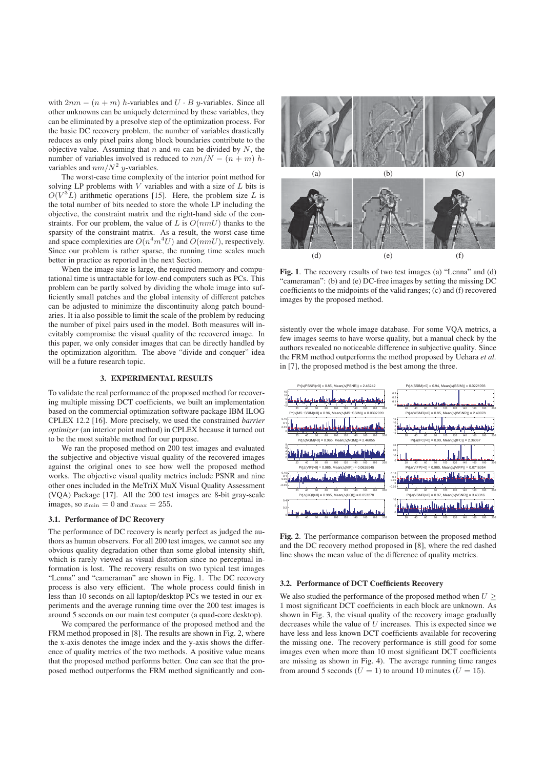with  $2nm - (n + m)$  h-variables and  $U \cdot B$  y-variables. Since all other unknowns can be uniquely determined by these variables, they can be eliminated by a presolve step of the optimization process. For the basic DC recovery problem, the number of variables drastically reduces as only pixel pairs along block boundaries contribute to the objective value. Assuming that n and m can be divided by  $N$ , the number of variables involved is reduced to  $nm/N - (n + m) h$ variables and  $nm/N^2$  y-variables.

The worst-case time complexity of the interior point method for solving LP problems with  $V$  variables and with a size of  $L$  bits is  $O(V^{3}L)$  arithmetic operations [15]. Here, the problem size L is the total number of bits needed to store the whole LP including the objective, the constraint matrix and the right-hand side of the constraints. For our problem, the value of L is  $O(nmU)$  thanks to the sparsity of the constraint matrix. As a result, the worst-case time and space complexities are  $O(n^4m^4U)$  and  $O(nmU)$ , respectively. Since our problem is rather sparse, the running time scales much better in practice as reported in the next Section.

When the image size is large, the required memory and computational time is untractable for low-end computers such as PCs. This problem can be partly solved by dividing the whole image into sufficiently small patches and the global intensity of different patches can be adjusted to minimize the discontinuity along patch boundaries. It ia also possible to limit the scale of the problem by reducing the number of pixel pairs used in the model. Both measures will inevitably compromise the visual quality of the recovered image. In this paper, we only consider images that can be directly handled by the optimization algorithm. The above "divide and conquer" idea will be a future research topic.

To validate the real performance of the proposed method for recovering multiple missing DCT coefficients, we built an implementation based on the commercial optimization software package IBM ILOG CPLEX 12.2 [16]. More precisely, we used the constrained *barrier optimizer* (an interior point method) in CPLEX because it turned out to be the most suitable method for our purpose.

We ran the proposed method on 200 test images and evaluated the subjective and objective visual quality of the recovered images against the original ones to see how well the proposed method works. The objective visual quality metrics include PSNR and nine other ones included in the MeTriX MuX Visual Quality Assessment (VQA) Package [17]. All the 200 test images are 8-bit gray-scale images, so  $x_{\min} = 0$  and  $x_{\max} = 255$ .

The performance of DC recovery is nearly perfect as judged the authors as human observers. For all 200 test images, we cannot see any obvious quality degradation other than some global intensity shift, which is rarely viewed as visual distortion since no perceptual information is lost. The recovery results on two typical test images "Lenna" and "cameraman" are shown in Fig. 1. The DC recovery process is also very efficient. The whole process could finish in less than 10 seconds on all laptop/desktop PCs we tested in our experiments and the average running time over the 200 test images is around 5 seconds on our main test computer (a quad-core desktop).

We compared the performance of the proposed method and the FRM method proposed in [8]. The results are shown in Fig. 2, where the x-axis denotes the image index and the y-axis shows the difference of quality metrics of the two methods. A positive value means that the proposed method performs better. One can see that the proposed method outperforms the FRM method significantly and con-



Fig. 1. The recovery results of two test images (a) "Lenna" and (d) "cameraman": (b) and (e) DC-free images by setting the missing DC coefficients to the midpoints of the valid ranges; (c) and (f) recovered images by the proposed method.

sistently over the whole image database. For some VQA metrics, a few images seems to have worse quality, but a manual check by the authors revealed no noticeable difference in subjective quality. Since the FRM method outperforms the method proposed by Uehara *et al.* in [7], the proposed method is the best among the three.



Fig. 2. The performance comparison between the proposed method and the DC recovery method proposed in [8], where the red dashed line shows the mean value of the difference of quality metrics.

 $3.22$  Performance of DCT Coefficients Recovery We also studied the performance of the proposed method when  $U \geq 0$ 1 most significant DCT coefficients in each block are unknown. As shown in Fig. 3, the visual quality of the recovery image gradually decreases while the value of  $U$  increases. This is expected since we have less and less known DCT coefficients available for recovering the missing one. The recovery performance is still good for some images even when more than 10 most significant DCT coefficients are missing as shown in Fig. 4). The average running time ranges from around 5 seconds ( $U = 1$ ) to around 10 minutes ( $U = 15$ ).